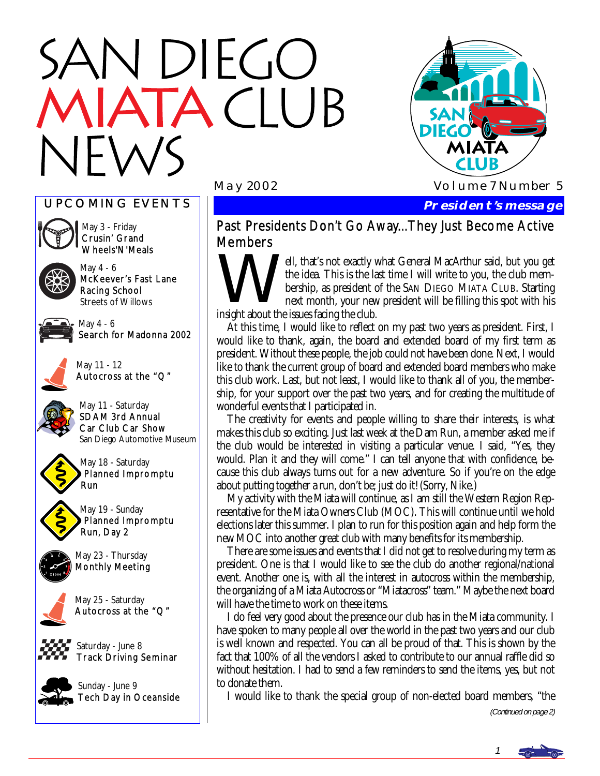# N DIEGO TACIUB



#### UPCOMING EVENTS



May 3 - Friday Crusin' Grand Wheels'N'Meals

May 4 - 6 McKeever's Fast Lane Racing School Streets of Willows



May 4 - 6 Search for Madonna 2002



May 11 - 12 Autocross at the "Q"



May 11 - Saturday SDAM 3rd Annual Car Club Car Show San Diego Automotive Museum



May 18 - Saturday Planned Impromptu Run

May 19 - Sunday Planned Impromptu Run, Day 2



May 23 - Thursday Monthly Meeting



May 25 - Saturday Autocross at the "Q"

Saturday - June 8 Track Driving Seminar



Sunday - June 9 Tech Day in Oceanside

 **President's message** 

### Past Presidents Don't Go Away...They Just Become Active Members

Well, that's not exactly what General MacArthur said, but you get the idea. This is the last time I will write to you, the club membership, as president of the SAN DIEGO MIATA CLUB. Starting next month, your new president will be filling this spot with his insight about the issues facing the club.

 At this time, I would like to reflect on my past two years as president. First, I would like to thank, again, the board and extended board of my first term as president. Without these people, the job could not have been done. Next, I would like to thank the current group of board and extended board members who make this club work. Last, but not least, I would like to thank all of you, the membership, for your support over the past two years, and for creating the multitude of wonderful events that I participated in.

 The creativity for events and people willing to share their interests, is what makes this club so exciting. Just last week at the Dam Run, a member asked me if the club would be interested in visiting a particular venue. I said, "Yes, they would. Plan it and they will come." I can tell anyone that with confidence, because this club always turns out for a new adventure. So if you're on the edge about putting together a run, don't be; just do it! (Sorry, Nike.)

 My activity with the Miata will continue, as I am still the Western Region Representative for the Miata Owners Club (MOC). This will continue until we hold elections later this summer. I plan to run for this position again and help form the new MOC into another great club with many benefits for its membership.

 There are some issues and events that I did not get to resolve during my term as president. One is that I would like to see the club do another regional/national event. Another one is, with all the interest in autocross within the membership, the organizing of a Miata Autocross or "Miatacross" team." Maybe the next board will have the time to work on these items.

 I do feel very good about the presence our club has in the Miata community. I have spoken to many people all over the world in the past two years and our club is well known and respected. You can all be proud of that. This is shown by the fact that 100% of all the vendors I asked to contribute to our annual raffle did so without hesitation. I had to send a few reminders to send the items, yes, but not to donate them.

I would like to thank the special group of non-elected board members, "the

(Continued on page 2)

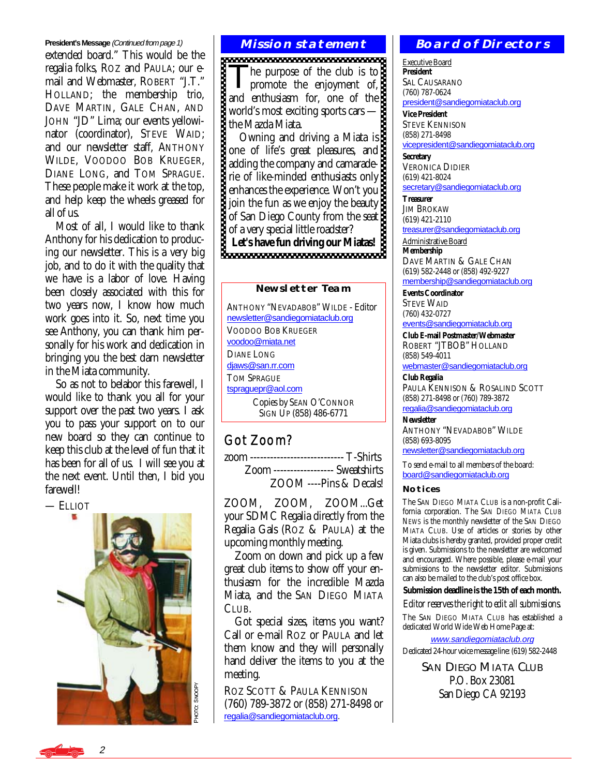#### **President's Message** (Continued from page 1)

extended board." This would be the regalia folks, ROZ and PAULA; our email and Webmaster, ROBERT "J.T." HOLLAND; the membership trio, DAVE MARTIN, GALE CHAN, AND JOHN "JD" Lima; our events yellowinator (coordinator), STEVE WAID; and our newsletter staff, ANTHONY WILDE, VOODOO BOB KRUEGER, DIANE LONG, and TOM SPRAGUE. These people make it work at the top, and help keep the wheels greased for all of us.

 Most of all, I would like to thank Anthony for his dedication to producing our newsletter. This is a very big job, and to do it with the quality that we have is a labor of love. Having been closely associated with this for two years now, I know how much work goes into it. So, next time you see Anthony, you can thank him personally for his work and dedication in bringing you the best darn newsletter in the Miata community.

 So as not to belabor this farewell, I would like to thank you all for your support over the past two years.  $\tilde{I}$  ask you to pass your support on to our new board so they can continue to keep this club at the level of fun that it has been for all of us. I will see you at the next event. Until then, I bid you farewell!

— ELLIOT

o: SNOOPY

#### **Mission statement**

The purpose of the club is to<br>promote the enjoyment of, and enthusiasm for, one of the world's most exciting sports cars the Mazda Miata.

 Owning and driving a Miata is one of life's great pleasures, and adding the company and camaraderie of like-minded enthusiasts only enhances the experience. Won't you join the fun as we enjoy the beauty of San Diego County from the seat of a very special little roadster? Let's have fun driving our Miatas!

#### **Newsletter Team**

ANTHONY "NEVADABOB" WILDE - Editor [newsletter@sandiegomiataclub.org](mailto:newsletter@sandiegomiataclub.org) VOODOO BOB KRUEGER [voodoo@miata.net](mailto:voodoo@miata.net) DIANE LONG [djaws@san.rr.com](mailto:djaws@san.rr.com) TOM SPRAGUE [tspraguepr@aol.com](mailto:tspraguepr@aol.com) Copies by SEAN O'CONNOR SIGN UP (858) 486-6771

#### Got Zoom?

zoom ---------------------------- T-Shirts Zoom ------------------ Sweatshirts ZOOM ----Pins & Decals!

ZOOM, ZOOM, ZOOM...Get your SDMC Regalia directly from the Regalia Gals (ROZ & PAULA) at the upcoming monthly meeting.

 Zoom on down and pick up a few great club items to show off your enthusiasm for the incredible Mazda Miata, and the SAN DIEGO MIATA CLUB.

 Got special sizes, items you want? Call or e-mail ROZ or PAULA and let them know and they will personally hand deliver the items to you at the meeting.

ROZ SCOTT & PAULA KENNISON (760) 789-3872 or (858) 271-8498 or  $\begin{array}{c|c} \n\delta & \text{ROZ SCOTT & \text{PAULA } \text{KEN} \\
\text{C4} & \text{CO} & \text{CO} & \text{CO} \\
\text{C5} & \text{O} & \text{CO} & \text{CO} \\
\text{Fe} & \text{Fe} & \text{O} & \text{Fe} \\
\text{Fe} & \text{O} & \text{O} & \text{O} & \text{O} \\
\end{array}$ 

#### **Board of Directors**

Executive Board **President**  SAL CAUSARANO (760) 787-0624 [president@sandiegomiataclub.org](mailto:president@sandiegomiataclub.org)

**Vice President**  STEVE KENNISON (858) 271-8498 [vicepresident@sandiegomiataclub.org](mailto:vicepresident@sandiegomiataclub.org)

**Secretary**  VERONICA DIDIER (619) 421-8024 [secretary@sandiegomiataclub.org](mailto:secretary@sandiegomiataclub.org)

**Treasurer**  JIM BROKAW (619) 421-2110 [treasurer@sandiegomiataclub.org](mailto:treasurer@sandiegomiataclub.org)

Administrative Board **Membership** 

DAVE MARTIN & GALE CHAN (619) 582-2448 or (858) 492-9227 [membership@sandiegomiataclub.org](mailto:membership@sandiegomiataclub.org)

**Events Coordinator**  STEVE WAID (760) 432-0727

[events@sandiegomiataclub.org](mailto:events@sandiegomiataclub.org)

**Club E-mail Postmaster/Webmaster**  ROBERT "JTBOB" HOLLAND (858) 549-4011

[webmaster@sandiegomiataclub.org](mailto:webmaster@sandiegomiataclub.org)

**Club Regalia**  PAULA KENNISON & ROSALIND SCOTT (858) 271-8498 or (760) 789-3872 [regalia@sandiegomiataclub.org](mailto:regalia@sandiegomiataclub.org)

**Newsletter** 

ANTHONY "NEVADABOB" WILDE (858) 693-8095

[newsletter@sandiegomiataclub.org](mailto:newsletter@sandiegomiataclub.org)

To send e-mail to all members of the board: [board@sandiegomiataclub.org](mailto:board@sandiegomiataclub.org)

#### **Notices**

The SAN DIEGO MIATA CLUB is a non-profit California corporation. The *SAN DIEGO MIATA CLUB NEWS* is the monthly newsletter of the SAN DIEGO MIATA CLUB. Use of articles or stories by other Miata clubs is hereby granted, provided proper credit is given. Submissions to the newsletter are welcomed and encouraged. Where possible, please e-mail your submissions to the newsletter editor. Submissions can also be mailed to the club's post office box.

**Submission deadline is the 15th of each month.** 

*Editor reserves the right to edit all submissions.*

The SAN DIEGO MIATA CLUB has established a dedicated World Wide Web Home Page at:

[www.sandiegomiataclub.org](http://www.sandiegomiataclub.org)

Dedicated 24-hour voice message line: (619) 582-2448

**SAN DIEGO MIATA CLUB** P.O. Box 23081 San Diego CA 92193

2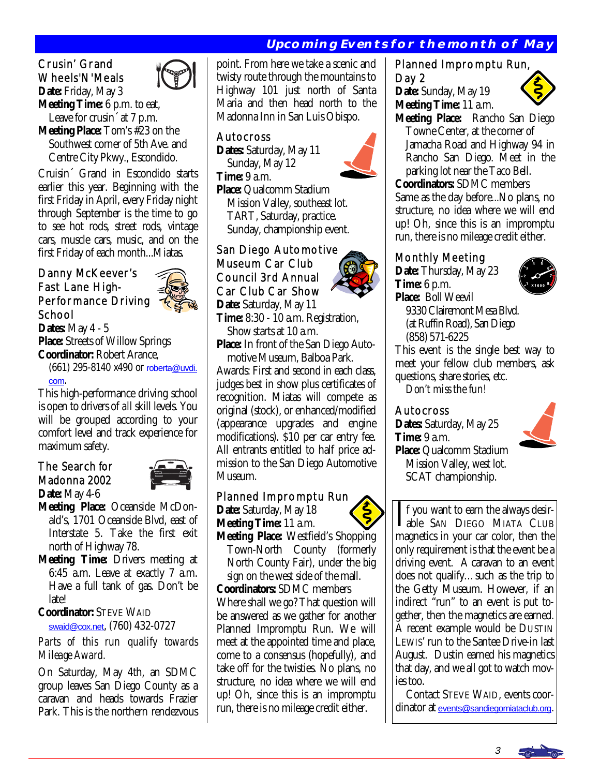#### **Upcoming Events for the month of May**

## Crusin' Grand Wheels'N'Meals

**Date:** Friday, May 3 **Meeting Time:** 6 p.m. to eat, Leave for crusin<sup> $\alpha$ </sup> at 7 p.m. **Meeting Place:** Tom's #23 on the Southwest corner of 5th Ave. and

 Centre City Pkwy., Escondido. Cruisin´ Grand in Escondido starts

earlier this year. Beginning with the first Friday in April, every Friday night through September is the time to go to see hot rods, street rods, vintage cars, muscle cars, music, and on the first Friday of each month...Miatas.

#### Danny McKeever's Fast Lane High-Performance Driving School



**Dates:** May 4 - 5 **Place:** Streets of Willow Springs **Coordinator:** Robert Arance,

 (661) 295-8140 x490 or [roberta@uvdi.](mailto:roberta@uvdi.com) [com](mailto:roberta@uvdi.com).

This high-performance driving school is open to drivers of *all* skill levels. You will be grouped according to your comfort level and track experience for maximum safety.

#### The Search for Madonna 2002 **Date:** May 4-6



- **Meeting Place:** Oceanside McDon ald's, 1701 Oceanside Blvd, east of Interstate 5. Take the first exit north of Highway 78.
- **Meeting Time:** Drivers meeting at 6:45 a.m. Leave at exactly 7 a.m. Have a full tank of gas. Don't be late!

**Coordinator:** STEVE WAID [swaid@cox.net](mailto:swaid@cox.net), (760) 432-0727

*Parts of this run qualify towards Mileage Award.* 

On Saturday, May 4th, an SDMC group leaves San Diego County as a caravan and heads towards Frazier Park. This is the northern rendezvous

point. From here we take a scenic and twisty route through the mountains to Highway 101 just north of Santa Maria and then head north to the Madonna Inn in San Luis Obispo.

#### Autocross

**Dates:** Saturday, May 11 Sunday, May 12 **Time:** 9 a.m.



**Place:** Qualcomm Stadium Mission Valley, southeast lot. TART, Saturday, practice. Sunday, championship event.

#### San Diego Automotive Museum Car Club Council 3rd Annual Car Club Car Show

**Date:** Saturday, May 11 **Time:** 8:30 - 10 a.m. Registration, Show starts at 10 a.m.

**Place:** In front of the San Diego Auto motive Museum, Balboa Park.

Awards: First and second in each class, judges best in show plus certificates of recognition. Miatas will compete as original (stock), or enhanced/modified (appearance upgrades and engine modifications). \$10 per car entry fee. All entrants entitled to half price admission to the San Diego Automotive Museum.

#### Planned Impromptu Run

**Date:** Saturday, May 18 **Meeting Time:** 11 a.m.

**Meeting Place:** Westfield's Shopping Town-North County (formerly North County Fair), under the big sign on the west side of the mall.

**Coordinators:** SDMC members Where shall we go? That question will be answered as we gather for another Planned Impromptu Run. We will meet at the appointed time and place, come to a consensus (hopefully), and take off for the twisties. No plans, no structure, no idea where we will end up! Oh, since this is an impromptu run, there is no mileage credit either.

#### Planned Impromptu Run, Day 2

**Date:** Sunday, May 19 **Meeting Time:** 11 a.m.



**Meeting Place:** Rancho San Diego Towne Center, at the corner of Jamacha Road and Highway 94 in Rancho San Diego. Meet in the parking lot near the Taco Bell.

**Coordinators:** SDMC members Same as the day before...No plans, no structure, no idea where we will end up! Oh, since this is an impromptu run, there is no mileage credit either. Î

#### Monthly Meeting

**Date:** Thursday, May 23 **Time:** 6 p.m. **Place:** Boll Weevil



 9330 Clairemont Mesa Blvd. (at Ruffin Road), San Diego (858) 571-6225

This event is the single best way to meet your fellow club members, ask questions, share stories, etc.

*Don't miss the fun!* 

#### Autocross

**Dates:** Saturday, May 25 **Time:** 9 a.m. **Place:** Qualcomm Stadium Mission Valley, west lot. SCAT championship.



If you want to earn the always desir-<br>able SAN DIEGO MIATA CLUB<br>magnetics in your ser selen than the magnetics in your car color, then the only requirement is that the event be a driving event. A caravan to an event does not qualify…such as the trip to the Getty Museum. However, if an indirect "run" to an event is put together, then the magnetics are earned. A recent example would be DUSTIN LEWIS' run to the Santee Drive-in last August. Dustin earned his magnetics that day, and we all got to watch movies too.

 Contact STEVE WAID, events coordinator at [events@sandiegomiataclub.org](mailto:events@sandiegomiataclub.org).

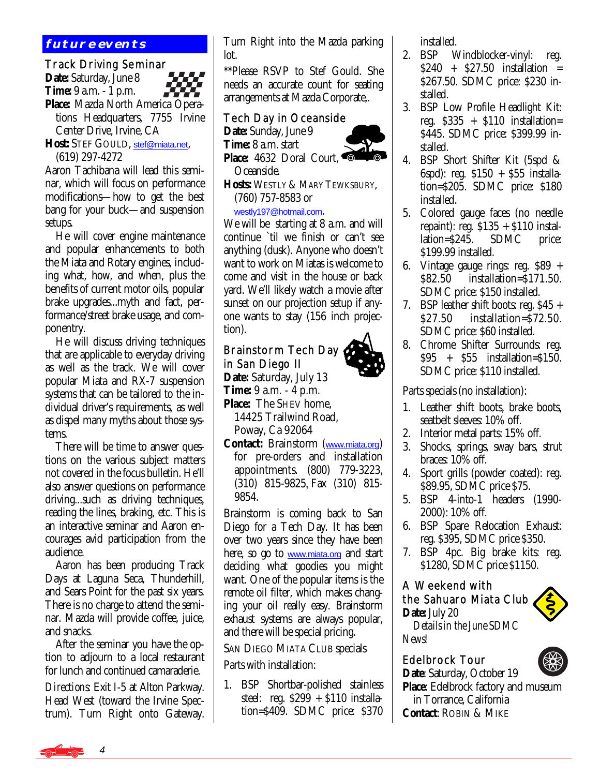#### **future events**

#### Track Driving Seminar

**Date:** Saturday, June 8 **Time:** 9 a.m. - 1 p.m. **Place:** Mazda North America Opera tions Headquarters, 7755 Irvine Center Drive, Irvine, CA

**Host:** STEF GOULD, [stef@miata.net](mailto:stef@miata.net), (619) 297-4272

Aaron Tachibana will lead this seminar, which will focus on performance modifications—how to get the best bang for your buck—and suspension setups.

 He will cover engine maintenance and popular enhancements to both the Miata and Rotary engines, including what, how, and when, plus the benefits of current motor oils, popular brake upgrades...myth and fact, performance/street brake usage, and componentry.

 He will discuss driving techniques that are applicable to everyday driving as well as the track. We will cover popular Miata and RX-7 suspension systems that can be tailored to the individual driver's requirements, as well as dispel many myths about those systems.

 There will be time to answer questions on the various subject matters not covered in the focus bulletin. He'll also answer questions on performance driving...such as driving techniques, reading the lines, braking, etc. This is an interactive seminar and Aaron encourages avid participation from the audience.

 Aaron has been producing Track Days at Laguna Seca, Thunderhill, and Sears Point for the past six years. There is no charge to attend the seminar. Mazda will provide coffee, juice, and snacks.

 After the seminar you have the option to adjourn to a local restaurant for lunch and continued camaraderie.

*Directions:* Exit I-5 at Alton Parkway. Head West (toward the Irvine Spectrum). Turn Right onto Gateway. Turn Right into the Mazda parking lot.

\*\*Please RSVP to Stef Gould. She needs an accurate count for seating arrangements at Mazda Corporate,.

#### Tech Day in Oceanside

**Date:** Sunday, June 9 **Time:** 8 a.m. start



Oceanside.

**Hosts:** WESTLY & MARY TEWKSBURY, (760) 757-8583 or

#### [westly197@hotmail.com](mailto:westly197@hotmail.com).

We will be starting at 8 a.m. and will continue `til we finish or can't see anything (dusk). Anyone who doesn't want to work on Miatas is welcome to come and visit in the house or back yard. We'll likely watch a movie after sunset on our projection setup if anyone wants to stay (156 inch projection).

#### Ì Brainstorm Tech Day in San Diego II

**Date:** Saturday, July 13 **Time:** 9 a.m. - 4 p.m.

**Place:** The SHEV home, 14425 Trailwind Road, Poway, Ca 92064

**Contact:** Brainstorm ([www.miata.org](http://www.miata.org)) for pre-orders and installation appointments. (800) 779-3223, (310) 815-9825-Fax (310) 815- 9854.

Brainstorm is coming back to San Diego for a Tech Day. It has been over two years since they have been here, so go to [www.miata.org](http://www.miata.org) and start deciding what goodies you might want. One of the popular items is the remote oil filter, which makes changing your oil really easy. Brainstorm exhaust systems are always popular, and there will be special pricing.

#### SAN DIEGO MIATA CLUB specials

Parts with installation:

1. BSP Shortbar-polished stainless steel: reg.  $$299 + $110$  installation=\$409. SDMC price: \$370

installed.

- 2. BSP Windblocker-vinyl: reg. \$240 + \$27.50 installation = \$267.50. SDMC price: \$230 installed.
- 3. BSP Low Profile Headlight Kit: reg.  $$335 + $110$  installation= \$445. SDMC price: \$399.99 installed.
- 4. BSP Short Shifter Kit (5spd & 6spd): reg. \$150 + \$55 installation=\$205. SDMC price: \$180 installed.
- 5. Colored gauge faces (no needle repaint): reg. \$135 + \$110 installation=\$245. SDMC price: \$199.99 installed.
- 6. Vintage gauge rings: reg. \$89 + \$82.50 installation=\$171.50. SDMC price: \$150 installed.
- 7. BSP leather shift boots: reg. \$45 + \$27.50 installation=\$72.50. SDMC price: \$60 installed.
- 8. Chrome Shifter Surrounds: reg. \$95 + \$55 installation=\$150. SDMC price: \$110 installed.

Parts specials (no installation):

- 1. Leather shift boots, brake boots, seatbelt sleeves: 10% off.
- 2. Interior metal parts: 15% off.
- 3. Shocks, springs, sway bars, strut braces: 10% off.
- 4. Sport grills (powder coated): reg. \$89.95, SDMC price \$75.
- 5. BSP 4-into-1 headers (1990- 2000): 10% off.
- 6. BSP Spare Relocation Exhaust: reg. \$395, SDMC price \$350.
- 7. BSP 4pc. Big brake kits: reg. \$1280, SDMC price \$1150.

#### A Weekend with the Sahuaro Miata Club **Date:** July 20  *Details in the June SDMC*



*News!* 

#### Edelbrock Tour

**Date**: Saturday, October 19 **Place**: Edelbrock factory and museum in Torrance, California **Contact**: ROBIN & MIKE



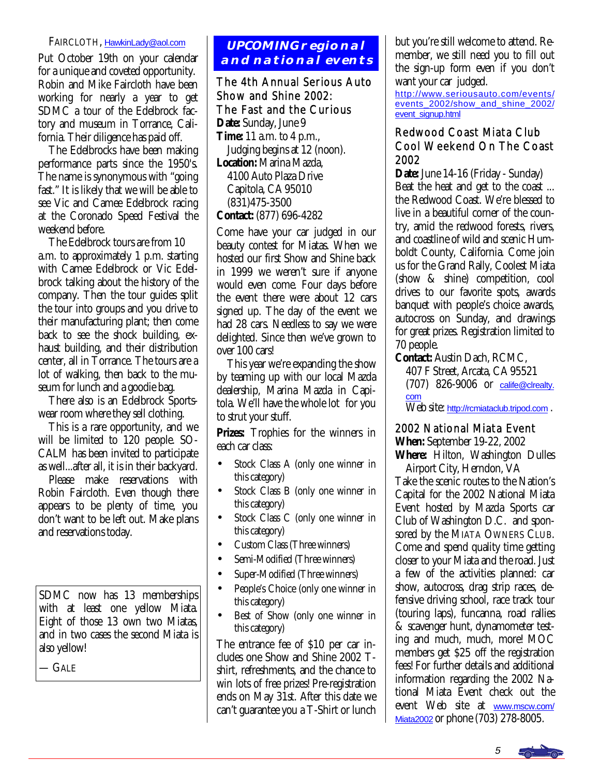#### FAIRCLOTH, [HawkinLady@aol.com](mailto:HawkinLady@aol.com)

Put October 19th on your calendar for a unique and coveted opportunity. Robin and Mike Faircloth have been working for nearly a year to get SDMC a tour of the Edelbrock factory and museum in Torrance, California. Their diligence has paid off.

 The Edelbrocks have been making performance parts since the 1950's. The name is synonymous with "going fast." It is likely that we will be able to see Vic and Camee Edelbrock racing at the Coronado Speed Festival the weekend before.

 The Edelbrock tours are from 10 a.m. to approximately 1 p.m. starting with Camee Edelbrock or Vic Edelbrock talking about the history of the company. Then the tour guides split the tour into groups and you drive to their manufacturing plant; then come back to see the shock building, exhaust building, and their distribution center, all in Torrance. The tours are a lot of walking, then back to the museum for lunch and a goodie bag.

 There also is an Edelbrock Sportswear room where they sell clothing.

 This is a rare opportunity, and we will be limited to 120 people. SO-CALM has been invited to participate as well...after all, it is in their backyard.

 Please make reservations with Robin Faircloth. Even though there appears to be plenty of time, you don't want to be left out. Make plans and reservations today.

SDMC now has 13 memberships with at least one yellow Miata. Eight of those 13 own two Miatas, and in two cases the second Miata is also yellow!

— GALE

#### **UPCOMING regional and national events**

#### The 4th Annual Serious Auto Show and Shine 2002: The Fast and the Curious **Date:** Sunday, June 9 **Time:** 11 a.m. to 4 p.m.,

 Judging begins at 12 (noon). **Location:** Marina Mazda, 4100 Auto Plaza Drive Capitola, CA 95010 (831)475-3500

**Contact:** (877) 696-4282

Come have your car judged in our beauty contest for Miatas. When we hosted our first Show and Shine back in 1999 we weren't sure if anyone would even come. Four days before the event there were about 12 cars signed up. The day of the event we had 28 cars. Needless to say we were delighted. Since then we've grown to over 100 cars!

 This year we're expanding the show by teaming up with our local Mazda dealership, Marina Mazda in Capitola. We'll have the whole lot for you to strut your stuff.

Prizes: Trophies for the winners in each car class:

- Stock Class A (only one winner in this category)
- Stock Class B (only one winner in this category)
- Stock Class C (only one winner in this category)
- Custom Class (Three winners)
- Semi-Modified (Three winners)
- Super-Modified (Three winners)
- People's Choice (only one winner in this category)
- Best of Show (only one winner in this category)

The entrance fee of \$10 per car includes one Show and Shine 2002 Tshirt, refreshments, and the chance to win lots of free prizes! Pre-registration ends on May 31st. After this date we can't guarantee you a T-Shirt or lunch

but you're still welcome to attend. Remember, we still need you to fill out the sign-up form even if you don't want your car judged.

[http://www.seriousauto.com/events/](http://www.seriousauto.com/events/events_2002/show_and_shine_2002/event_signup.html) events\_2002/show\_and\_shine\_2002/ [event\\_signup.html](http://www.seriousauto.com/events/events_2002/show_and_shine_2002/event_signup.html)

#### Redwood Coast Miata Club Cool Weekend On The Coast 2002

**Date:** June 14-16 (Friday - Sunday) Beat the heat and get to the coast ... the Redwood Coast. We're blessed to live in a beautiful corner of the country, amid the redwood forests, rivers, and coastline of wild and scenic Humboldt County, California. Come join us for the Grand Rally, Coolest Miata (show & shine) competition, cool drives to our favorite spots, awards banquet with people's choice awards, autocross on Sunday, and drawings for great prizes. Registration limited to 70 people.

**Contact:** Austin Dach, RCMC,

 407 F Street, Arcata, CA 95521 (707) 826-9006 or [calife@clrealty.](mailto:calife@clrealty.com) [com](mailto:calife@clrealty.com)

Web site: <http://rcmiataclub.tripod.com> .

#### 2002 National Miata Event

**When:** September 19-22, 2002

**Where:** Hilton, Washington Dulles Airport City, Herndon, VA

Take the scenic routes to the Nation's Capital for the 2002 National Miata Event hosted by Mazda Sports car Club of Washington D.C. and sponsored by the MIATA OWNERS CLUB. Come and spend quality time getting closer to your Miata and the road. Just a few of the activities planned: car show, autocross, drag strip races, defensive driving school, race track tour (touring laps), funcanna, road rallies & scavenger hunt, dynamometer testing and much, much, more! MOC members get \$25 off the registration fees! For further details and additional information regarding the 2002 National Miata Event check out the event Web site at [www.mscw.com/](http://www.mscw.com/Miata2002) [Miata2002](http://www.mscw.com/Miata2002) or phone (703) 278-8005.

5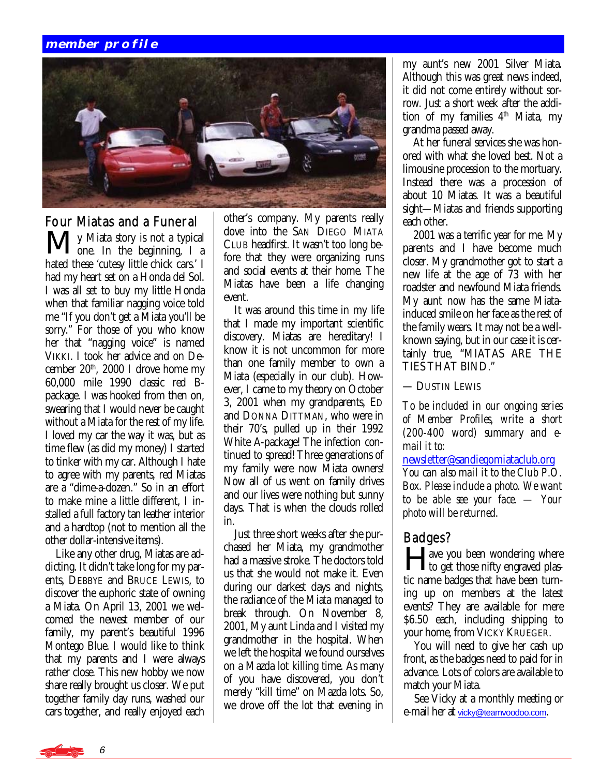#### **member profile**



#### Four Miatas and a Funeral

My Miata story is not a typical  $\vee$   $\overline{\phantom{a}}$   $\overline{\phantom{a}}$  one. In the beginning, I a hated these 'cutesy little chick cars.' I had my heart set on a Honda del Sol. I was all set to buy my little Honda when that familiar nagging voice told me "If you don't get a Miata you'll be sorry." For those of you who know her that "nagging voice" is named VIKKI. I took her advice and on December  $20<sup>th</sup>$ ,  $2000$  I drove home my 60,000 mile 1990 classic red Bpackage. I was hooked from then on, swearing that I would never be caught without a Miata for the rest of my life. I loved my car the way it was, but as time flew (as did my money) I started to tinker with my car. Although I hate to agree with my parents, red Miatas are a "dime-a-dozen." So in an effort to make mine a little different, I installed a full factory tan leather interior and a hardtop (not to mention all the other dollar-intensive items).

 Like any other drug, Miatas are addicting. It didn't take long for my parents, DEBBYE and BRUCE LEWIS, to discover the euphoric state of owning a Miata. On April 13, 2001 we welcomed the newest member of our family, my parent's beautiful 1996 Montego Blue. I would like to think that my parents and I were always rather close. This new hobby we now share really brought us closer. We put together family day runs, washed our cars together, and really enjoyed each

other's company. My parents really dove into the SAN DIEGO MIATA CLUB headfirst. It wasn't too long before that they were organizing runs and social events at their home. The Miatas have been a life changing event.

 It was around this time in my life that I made my important scientific discovery. Miatas are hereditary! I know it is not uncommon for more than one family member to own a Miata (especially in our club). However, I came to my theory on October 3, 2001 when my grandparents, ED and DONNA DITTMAN, who were in their 70's, pulled up in their 1992 White A-package! The infection continued to spread! Three generations of my family were now Miata owners! Now all of us went on family drives and our lives were nothing but sunny days. That is when the clouds rolled in.

 Just three short weeks after she purchased her Miata, my grandmother had a massive stroke. The doctors told us that she would not make it. Even during our darkest days and nights, the radiance of the Miata managed to break through. On November 8, 2001, My aunt Linda and I visited my grandmother in the hospital. When we left the hospital we found ourselves on a Mazda lot killing time. As many of you have discovered, you don't merely "kill time" on Mazda lots. So, we drove off the lot that evening in my aunt's new 2001 Silver Miata. Although this was great news indeed, it did not come entirely without sorrow. Just a short week after the addition of my families 4<sup>th</sup> Miata, my grandma passed away.

 At her funeral services she was honored with what she loved best. Not a limousine procession to the mortuary. Instead there was a procession of about 10 Miatas. It was a beautiful sight—Miatas and friends supporting each other.

 2001 was a terrific year for me. My parents and I have become much closer. My grandmother got to start a new life at the age of 73 with her roadster and newfound Miata friends. My aunt now has the same Miatainduced smile on her face as the rest of the family wears. It may not be a wellknown saying, but in our case it is certainly true, "MIATAS ARE THE TIES THAT BIND."

— DUSTIN LEWIS

*To be included in our ongoing series of Member Profiles, write a short (200-400 word) summary and email it to:* 

[newsletter@sandiegomiataclub.org](mailto:newsletter@sandiegomiataclub.org) *You can also mail it to the Club P.O. Box. Please include a photo. We want to be able see your face. — Your photo will be returned.*

#### Badges?

**Lave you been wondering where** to get those nifty engraved plastic name badges that have been turning up on members at the latest events? They are available for mere \$6.50 each, including shipping to your home, from VICKY KRUEGER.

 You will need to give her cash up front, as the badges need to paid for in advance. Lots of colors are available to match your Miata.

 See Vicky at a monthly meeting or e-mail her at [vicky@teamvoodoo.com](mailto:vicky@teamvoodoo.com).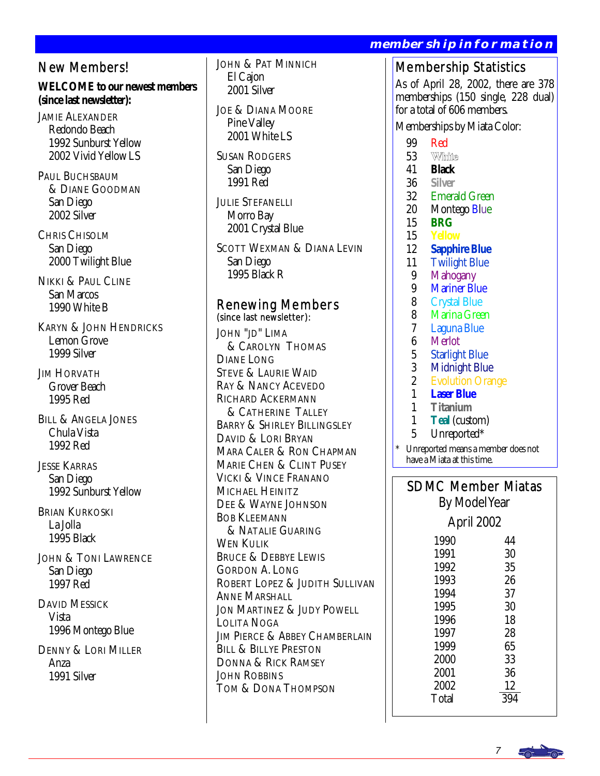#### New Members!

**WELCOME to our newest members (since last newsletter):** 

JAMIE ALEXANDER Redondo Beach 1992 Sunburst Yellow 2002 Vivid Yellow LS

PAUL BUCHSBAUM & DIANE GOODMAN San Diego 2002 Silver

CHRIS CHISOLM San Diego 2000 Twilight Blue

NIKKI & PAUL CLINE San Marcos 1990 White B

KARYN & JOHN HENDRICKS Lemon Grove 1999 Silver

JIM HORVATH Grover Beach 1995 Red

BILL & ANGELA JONES Chula Vista 1992 Red

JESSE KARRAS San Diego 1992 Sunburst Yellow

BRIAN KURKOSKI La Jolla 1995 Black

JOHN & TONI LAWRENCE San Diego 1997 Red

DAVID MESSICK Vista 1996 Montego Blue

DENNY & LORI MILLER Anza 1991 Silver

JOHN & PAT MINNICH El Cajon 2001 Silver

JOE & DIANA MOORE Pine Valley 2001 White LS

SUSAN RODGERS San Diego 1991 Red

JULIE STEFANELLI Morro Bay 2001 Crystal Blue

SCOTT WEXMAN & DIANA LEVIN San Diego 1995 Black R

## Renewing Members (since last newsletter):

JOHN "JD" LIMA & CAROLYN THOMAS DIANE LONG STEVE & LAURIE WAID RAY & NANCY ACEVEDO RICHARD ACKERMANN **& CATHERINE TALLEY** BARRY & SHIRLEY BILLINGSLEY DAVID & LORI BRYAN MARA CALER & RON CHAPMAN MARIE CHEN & CLINT PUSEY VICKI & VINCE FRANANO MICHAEL HEINITZ DEE & WAYNE JOHNSON BOB KLEEMANN & NATALIE GUARING WEN KULIK BRUCE & DEBBYE LEWIS GORDON A. LONG ROBERT LOPEZ & JUDITH SULLIVAN ANNE MARSHALL JON MARTINEZ & JUDY POWELL LOLITA NOGA **JIM PIERCE & ABBEY CHAMBERLAIN** BILL & BILLYE PRESTON DONNA & RICK RAMSEY JOHN ROBBINS TOM & DONA THOMPSON

#### **membership information**

## Membership Statistics

As of April 28, 2002, there are 378 memberships (150 single, 228 dual) for a total of 606 members.

Memberships by Miata Color:

- 
- 99 Red<br>53 White 53
- 41 **Black**
- 36 **Silver**
- 32 Emerald Green
- 20 Montego Blue<br>15 BRG
- 15 **BRG**
- 15 **Yellow**
- 12 **Sapphire Blue**
- 11 Twilight Blue
- 9 Mahogany<br>9 Mariner Bh
- 9 Mariner Blue<br>8 Crystal Blue
- 8 Crystal Blue<br>8 Marina Gree
- 8 Marina Green<br>7 Laguna Blue
- 7 Laguna Blue
- 6 Merlot<br>5 Starligh
- 5 Starlight Blue<br>3 Midnight Blu
- 3 Midnight Blue<br>2 Evolution Oran
- 2 Evolution Orange<br>1 **Laser Blue**
- 1 **Laser Blue**
- 1 **Titanium**
- 1 **Teal** (custom)<br>5 **Unreported\***
- Unreported\*
- Unreported means a member does not have a Miata at this time.

SDMC Member Miatas

By Model Year

April 2002 1990 44 1991 30<br>1992 35 1992

1993 26<br>1994 37 1994 37<br>1995 30 1995 30<br>1996 18 1996 18<br>1997 28 1997 28<br>1999 65 1999 65<br>2000 33 2000 33<br>2001 36 2001  $\frac{2002}{\text{Total}} \qquad \frac{12}{394}$ Total

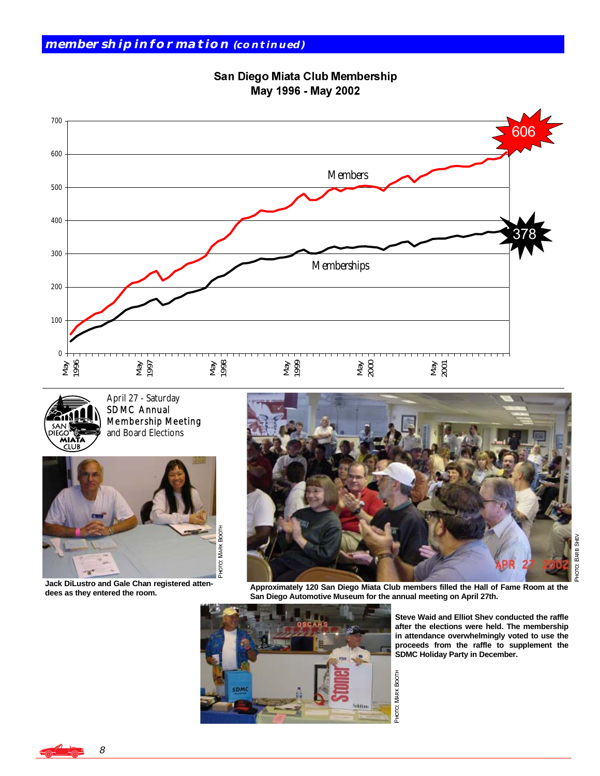San Diego Miata Club Membership May 1996 - May 2002





April 27 - Saturday SDMC Annual Membership Meeting and Board Elections



**Jack DiLustro and Gale Chan registered attendees as they entered the room.** 



**Approximately 120 San Diego Miata Club members filled the Hall of Fame Room at the San Diego Automotive Museum for the annual meeting on April 27th.** 



**Steve Waid and Elliot Shev conducted the raffle after the elections were held. The membership in attendance overwhelmingly voted to use the proceeds from the raffle to supplement the SDMC Holiday Party in December.** 

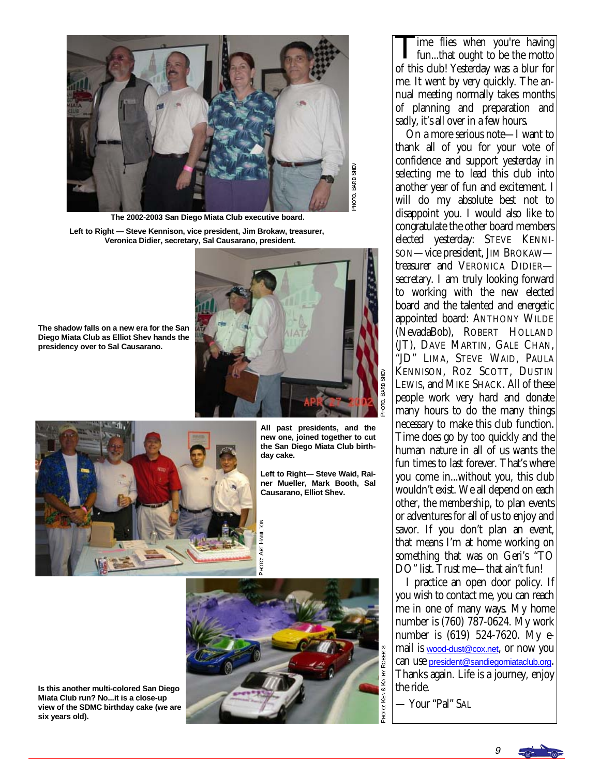

**The 2002-2003 San Diego Miata Club executive board.** 

**Left to Right — Steve Kennison, vice president, Jim Brokaw, treasurer, Veronica Didier, secretary, Sal Causarano, president.** 



**The shadow falls on a new era for the San Diego Miata Club as Elliot Shev hands the presidency over to Sal Causarano.** 

**All past presidents, and the new one, joined together to cut the San Diego Miata Club birthday cake.** 

**Left to Right— Steve Waid, Rainer Mueller, Mark Booth, Sal Causarano, Elliot Shev.** 



р<br>194 ০<br>- ART

T HAMILTON

**Is this another multi-colored San Diego Miata Club run? No...it is a close-up view of the SDMC birthday cake (we are six years old).** 

ime flies when you're having fun...that ought to be the motto of this club! Yesterday was a blur for me. It went by very quickly. The annual meeting normally takes months of planning and preparation and sadly, it's all over in a few hours.

 On a more serious note—I want to thank all of you for your vote of confidence and support yesterday in selecting me to lead this club into another year of fun and excitement. I will do my absolute best not to disappoint you. I would also like to congratulate the other board members elected yesterday: STEVE KENNI-SON—vice president, JIM BROKAW treasurer and VERONICA DIDIER secretary. I am truly looking forward to working with the new elected board and the talented and energetic appointed board: ANTHONY WILDE (NevadaBob), ROBERT HOLLAND (JT), DAVE MARTIN, GALE CHAN, "JD" LIMA, STEVE WAID, PAULA KENNISON, ROZ SCOTT, DUSTIN LEWIS, and MIKE SHACK. All of these people work very hard and donate many hours to do the many things necessary to make this club function. Time does go by too quickly and the human nature in all of us wants the fun times to last forever. That's where you come in...without you, this club wouldn't exist. We all depend on each other, *the membership*, to plan events or adventures for all of us to enjoy and savor. If you don't plan an event, that means I'm at home working on something that was on Geri's "TO DO" list. Trust me—that ain't fun!

 I practice an open door policy. If you wish to contact me, you can reach me in one of many ways. My home number is (760) 787-0624. My work number is (619) 524-7620. My email is [wood-dust@cox.net](mailto:wood-dust@cox.net), or now you can use [president@sandiegomiataclub.org](mailto:president@sandiegomiataclub.org). Thanks again. Life is a journey, enjoy the ride.

— Your "Pal" SAL

9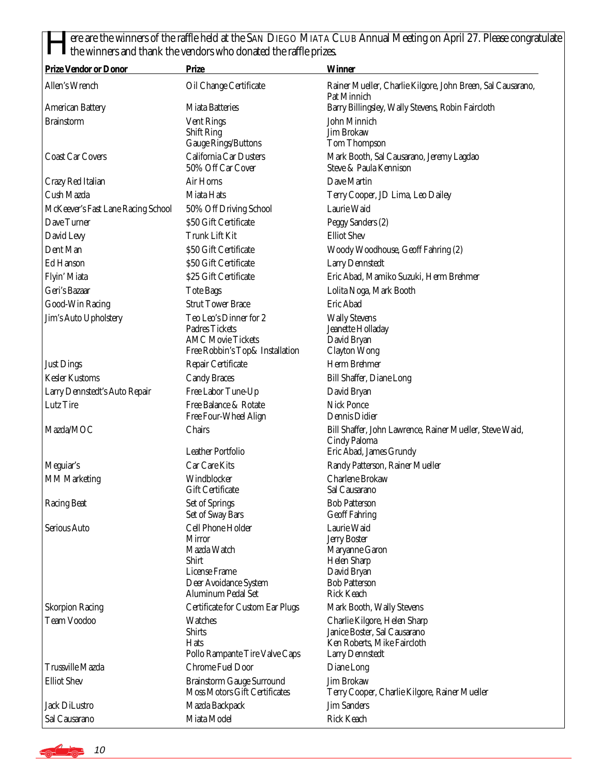ere are the winners of the raffle held at the SAN DIEGO MIATA CLUB Annual Meeting on April 27. Please congratulate the winners and thank the vendors who donated the raffle prizes.

| <b>Prize Vendor or Donor</b>       | <b>Prize</b>                                                                                                               | <b>Winner</b>                                                                                                                          |
|------------------------------------|----------------------------------------------------------------------------------------------------------------------------|----------------------------------------------------------------------------------------------------------------------------------------|
| Allen's Wrench                     | Oil Change Certificate                                                                                                     | Rainer Mueller, Charlie Kilgore, John Breen, Sal Causarano,<br>Pat Minnich                                                             |
| <b>American Battery</b>            | <b>Miata Batteries</b>                                                                                                     | Barry Billingsley, Wally Stevens, Robin Faircloth                                                                                      |
| <b>Brainstorm</b>                  | <b>Vent Rings</b><br><b>Shift Ring</b><br><b>Gauge Rings/Buttons</b>                                                       | John Minnich<br><b>Jim Brokaw</b><br>Tom Thompson                                                                                      |
| <b>Coast Car Covers</b>            | California Car Dusters<br>50% Off Car Cover                                                                                | Mark Booth, Sal Causarano, Jeremy Lagdao<br>Steve & Paula Kennison                                                                     |
| Crazy Red Italian                  | Air Horns                                                                                                                  | Dave Martin                                                                                                                            |
| Cush Mazda                         | Miata Hats                                                                                                                 | Terry Cooper, JD Lima, Leo Dailey                                                                                                      |
| McKeever's Fast Lane Racing School | 50% Off Driving School                                                                                                     | Laurie Waid                                                                                                                            |
| Dave Turner                        | \$50 Gift Certificate                                                                                                      | Peggy Sanders (2)                                                                                                                      |
| David Levy                         | Trunk Lift Kit                                                                                                             | <b>Elliot Shev</b>                                                                                                                     |
| Dent Man                           | \$50 Gift Certificate                                                                                                      | Woody Woodhouse, Geoff Fahring (2)                                                                                                     |
| Ed Hanson                          | \$50 Gift Certificate                                                                                                      | <b>Larry Dennstedt</b>                                                                                                                 |
| Flyin' Miata                       | \$25 Gift Certificate                                                                                                      | Eric Abad, Mamiko Suzuki, Herm Brehmer                                                                                                 |
| Geri's Bazaar                      | <b>Tote Bags</b>                                                                                                           | Lolita Noga, Mark Booth                                                                                                                |
| Good-Win Racing                    | <b>Strut Tower Brace</b>                                                                                                   | Eric Abad                                                                                                                              |
| Jim's Auto Upholstery              | Teo Leo's Dinner for 2                                                                                                     | <b>Wally Stevens</b>                                                                                                                   |
|                                    | <b>Padres Tickets</b>                                                                                                      | Jeanette Holladay                                                                                                                      |
|                                    | <b>AMC Movie Tickets</b>                                                                                                   | David Bryan                                                                                                                            |
|                                    | Free Robbin's Top& Installation                                                                                            | <b>Clayton Wong</b>                                                                                                                    |
| <b>Just Dings</b>                  | Repair Certificate                                                                                                         | Herm Brehmer                                                                                                                           |
| <b>Kesler Kustoms</b>              | <b>Candy Braces</b>                                                                                                        | <b>Bill Shaffer, Diane Long</b>                                                                                                        |
| Larry Dennstedt's Auto Repair      | Free Labor Tune-Up                                                                                                         | David Bryan                                                                                                                            |
| Lutz Tire                          | Free Balance & Rotate<br>Free Four-Wheel Align                                                                             | <b>Nick Ponce</b><br>Dennis Didier                                                                                                     |
| Mazda/MOC                          | Chairs                                                                                                                     | Bill Shaffer, John Lawrence, Rainer Mueller, Steve Waid,<br>Cindy Paloma                                                               |
|                                    | <b>Leather Portfolio</b>                                                                                                   | Eric Abad, James Grundy                                                                                                                |
| Meguiar's                          | Car Care Kits                                                                                                              | Randy Patterson, Rainer Mueller                                                                                                        |
| <b>MM Marketing</b>                | Windblocker<br><b>Gift Certificate</b>                                                                                     | Charlene Brokaw<br>Sal Causarano                                                                                                       |
| <b>Racing Beat</b>                 | Set of Springs<br>Set of Sway Bars                                                                                         | <b>Bob Patterson</b><br><b>Geoff Fahring</b>                                                                                           |
| Serious Auto                       | Cell Phone Holder<br><b>Mirror</b><br>Mazda Watch<br>Shirt<br>License Frame<br>Deer Avoidance System<br>Aluminum Pedal Set | Laurie Waid<br><b>Jerry Boster</b><br>Maryanne Garon<br><b>Helen Sharp</b><br>David Bryan<br><b>Bob Patterson</b><br><b>Rick Keach</b> |
| <b>Skorpion Racing</b>             | Certificate for Custom Ear Plugs                                                                                           | Mark Booth, Wally Stevens                                                                                                              |
| <b>Team Voodoo</b>                 | <b>Watches</b><br><b>Shirts</b><br><b>Hats</b><br>Pollo Rampante Tire Valve Caps                                           | Charlie Kilgore, Helen Sharp<br>Janice Boster, Sal Causarano<br>Ken Roberts, Mike Faircloth<br><b>Larry Dennstedt</b>                  |
| <b>Trussville Mazda</b>            | Chrome Fuel Door                                                                                                           | Diane Long                                                                                                                             |
| <b>Elliot Shev</b>                 | <b>Brainstorm Gauge Surround</b><br><b>Moss Motors Gift Certificates</b>                                                   | Jim Brokaw<br>Terry Cooper, Charlie Kilgore, Rainer Mueller                                                                            |
| <b>Jack DiLustro</b>               | Mazda Backpack                                                                                                             | <b>Jim Sanders</b>                                                                                                                     |
| Sal Causarano                      | Miata Model                                                                                                                | <b>Rick Keach</b>                                                                                                                      |

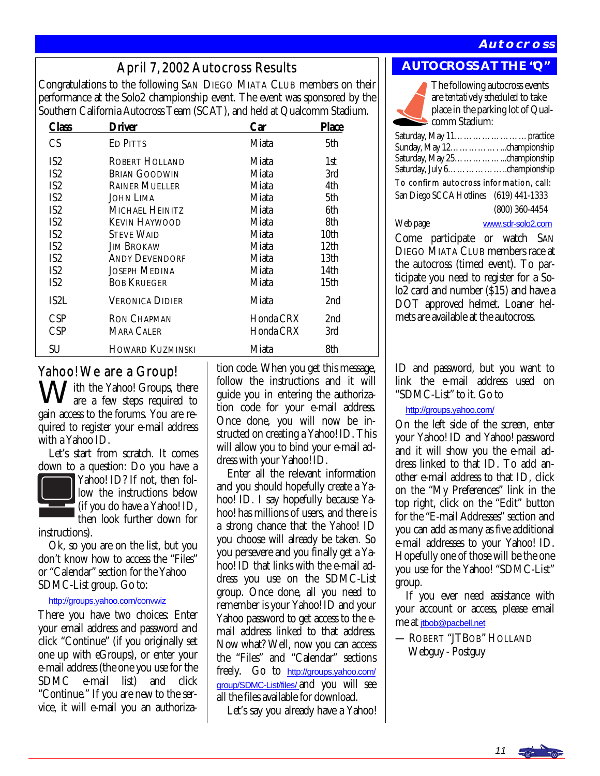#### **Autocross**

April 7, 2002 Autocross Results **AUTOCROSS AT THE "Q"**<br>Congratulations to the following SAN DIEGO MIATA CLUB members on their performance at the Solo2 championship event. The event was sponsored by the Southern California Autocross Team (SCAT), and held at Qualcomm Stadium.

| Class           | Driver                  | Car       | <b>Place</b>     |
|-----------------|-------------------------|-----------|------------------|
| CS              | <b>ED PITTS</b>         | Miata     | 5th              |
| IS2             | ROBERT HOLLAND          | Miata     | 1st              |
| IS2             | <b>BRIAN GOODWIN</b>    | Miata     | 3rd              |
| IS <sub>2</sub> | <b>RAINER MUELLER</b>   | Miata     | 4th              |
| IS2             | JOHN LIMA               | Miata     | 5th              |
| IS2             | Michael Heinitz         | Miata     | 6th              |
| IS2             | Kevin Haywood           | Miata     | 8th              |
| IS <sub>2</sub> | <b>STEVE WAID</b>       | Miata     | 10th             |
| IS <sub>2</sub> | Jim Brokaw              | Miata     | 12 <sub>th</sub> |
| IS2             | <b>ANDY DEVENDORF</b>   | Miata     | 13th             |
| IS <sub>2</sub> | JOSEPH MEDINA           | Miata     | 14th             |
| IS2             | <b>BOB KRUEGER</b>      | Miata     | 15th             |
| IS2L            | <b>VERONICA DIDIER</b>  | Miata     | 2 <sub>nd</sub>  |
| CSP             | <b>RON CHAPMAN</b>      | Honda CRX | 2nd              |
| <b>CSP</b>      | MARA CALER              | Honda CRX | 3rd              |
| SU              | <b>HOWARD KUZMINSKI</b> | Miata     | 8th              |

#### Yahoo! We are a Group!

I ith the Yahoo! Groups, there are a few steps required to gain access to the forums. You are required to register your e-mail address with a Yahoo ID.

 Let's start from scratch. It comes down to a question: Do you have a



Yahoo! ID? If not, then follow the instructions below (if you do have a Yahoo! ID, then look further down for

instructions).

 Ok, so you are on the list, but you don't know how to access the "Files" or "Calendar" section for the Yahoo SDMC-List group. Go to:

#### <http://groups.yahoo.com/convwiz>

There you have two choices: Enter your email address and password and click "Continue" (if you originally set one up with eGroups), or enter your e-mail address (the one you use for the SDMC e-mail list) and click "Continue." If you are new to the service, it will e-mail you an authorization code. When you get this message, follow the instructions and it will guide you in entering the authorization code for your e-mail address. Once done, you will now be instructed on creating a Yahoo! ID. This will allow you to bind your e-mail address with your Yahoo! ID.

 Enter all the relevant information and you should hopefully create a Yahoo! ID. I say hopefully because Yahoo! has millions of users, and there is a strong chance that the Yahoo! ID you choose will already be taken. So you persevere and you finally get a Yahoo! ID that links with the e-mail address you use on the SDMC-List group. Once done, all you need to remember is your Yahoo! ID and your Yahoo password to get access to the email address linked to that address. Now what? Well, now you can access the "Files" and "Calendar" sections freely. Go to [http://groups.yahoo.com/](http://groups.yahoo.com/group/SDMC-List/files/) [group/SDMC-List/files/](http://groups.yahoo.com/group/SDMC-List/files/) and you will see all the files available for download.

Let's say you already have a Yahoo!

The following autocross events are *tentatively scheduled* to take place in the parking lot of Qualcomm Stadium:

Saturday, May 11……………………practice Sunday, May 12……………. ...championship Saturday, May 25……………...championship Saturday, July 6………………..championship

To confirm autocross information, call:

San Diego SCCA Hotlines (619) 441-1333 (800) 360-4454

Web page [www.sdr-solo2.com](http://www.sdr-solo2.com)

Come participate or watch SAN DIEGO MIATA CLUB members race at the autocross (timed event). To participate you need to register for a Solo2 card and number (\$15) and have a DOT approved helmet. Loaner helmets are available at the autocross.

ID and password, but you want to link the e-mail address used on "SDMC-List" to it. Go to

#### [http://groups.yahoo.com/](http://groups.yahoo.com)

On the left side of the screen, enter your Yahoo! ID and Yahoo! password and it will show you the e-mail address linked to that ID. To add another e-mail address to that ID, click on the "My Preferences" link in the top right, click on the "Edit" button for the "E-mail Addresses" section and you can add as many as five additional e-mail addresses to your Yahoo! ID. Hopefully one of those will be the one you use for the Yahoo! "SDMC-List" group.

 If you ever need assistance with your account or access, please email me at [jtbob@pacbell.net](mailto:jtbob@pacbell.net)

— ROBERT "JTBOB" HOLLAND Webguy - Postguy

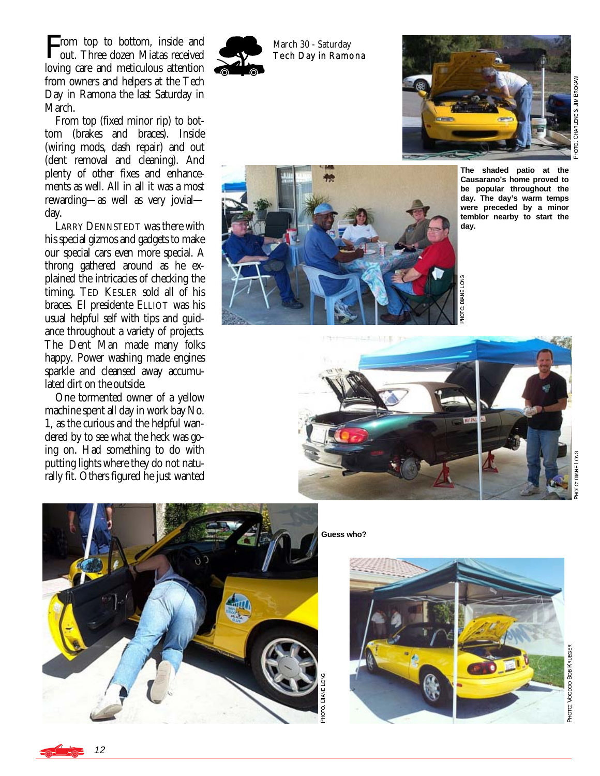**From top to bottom, inside and out. Three dozen Miatas received** rom top to bottom, inside and loving care and meticulous attention from owners and helpers at the Tech Day in Ramona the last Saturday in March.

 From top (fixed minor rip) to bottom (brakes and braces). Inside (wiring mods, dash repair) and out (dent removal and cleaning). And plenty of other fixes and enhancements as well. All in all it was a most rewarding—as well as very jovial day.

 LARRY DENNSTEDT was there with his special gizmos and gadgets to make our special cars even more special. A throng gathered around as he explained the intricacies of checking the timing. TED KESLER sold all of his braces. El presidente ELLIOT was his usual helpful self with tips and guidance throughout a variety of projects. The Dent Man made many folks happy. Power washing made engines sparkle and cleansed away accumulated dirt on the outside.

 One tormented owner of a yellow machine spent all day in work bay No. 1, as the curious and the helpful wandered by to see what the heck was going on. Had something to do with putting lights where they do not naturally fit. Others figured he just wanted



March 30 - Saturday Tech Day in Ramona





пон<br>Р CHAR

上下&J lM BR **OKANO** 



рна<br>Р **DIANE LONG** 



**Guess who?** 



**OTO: DIANE LONG DIANE LONG** 



TGH<br>P

**DIANE LONG** 

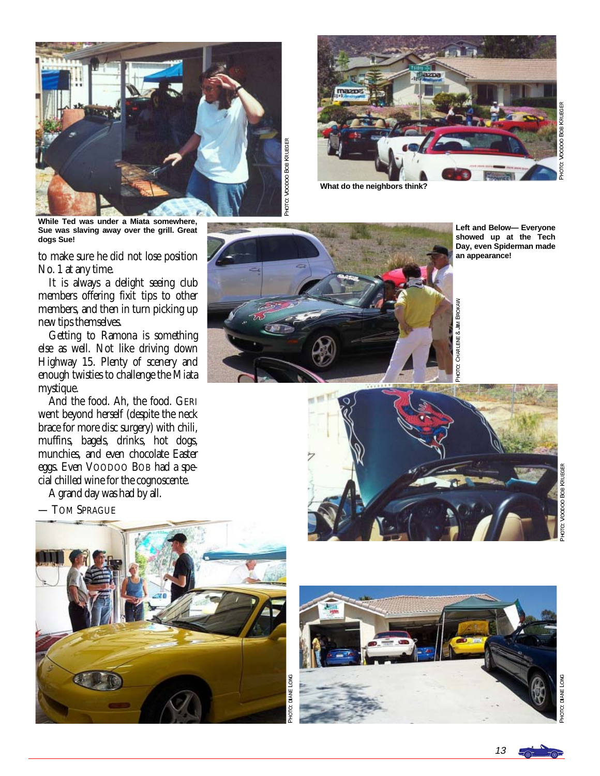

PHOTO: VOODOO BOB KRUEGER o: Voopoo Boa Krueger



**What do the neighbors think?** 

0: Voopoo Boa KRUEGER VOODOO BOB KRUEGER  $2+010$ 

**While Ted was under a Miata somewhere, Sue was slaving away over the grill. Great dogs Sue!** 

to make sure he did not lose position No. 1 at any time.

 It is always a delight seeing club members offering fixit tips to other members, and then in turn picking up new tips themselves.

 Getting to Ramona is something else as well. Not like driving down Highway 15. Plenty of scenery and enough twisties to challenge the Miata mystique.

 And the food. Ah, the food. GERI went beyond herself (despite the neck brace for more disc surgery) with chili, muffins, bagels, drinks, hot dogs, munchies, and even chocolate Easter eggs. Even VOODOO BOB had a special chilled wine for the cognoscente.

A grand day was had by all.

— TOM SPRAGUE







1949 €<br>⊙

RIENE & JIM BROKA

℥



-<br>PHOT na<br>S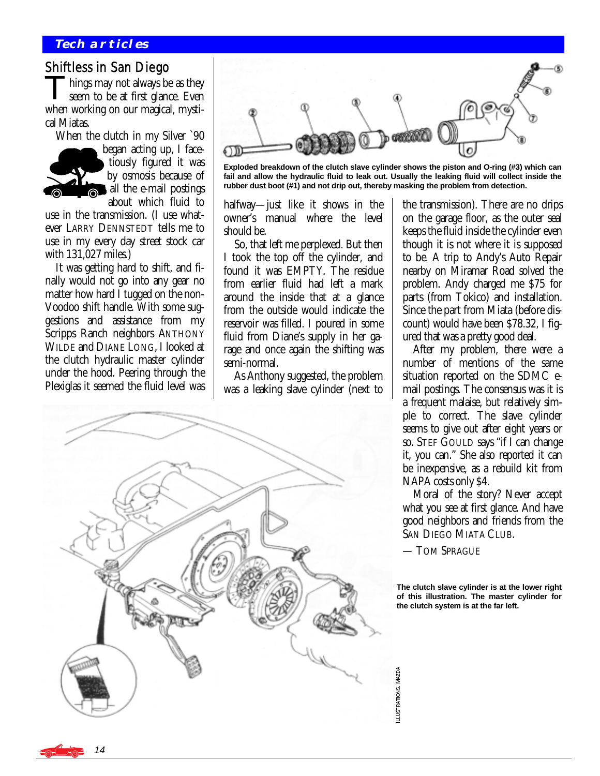#### **Tech articles**

#### Shiftless in San Diego

hings may not always be as they seem to be at first glance. Even when working on our magical, mystical Miatas.

 When the clutch in my Silver `90 began acting up, I facetiously figured it was by osmosis because of all the e-mail postings about which fluid to

use in the transmission. (I use whatever LARRY DENNSTEDT tells me to use in my every day street stock car with 131,027 miles.)

 It was getting hard to shift, and finally would not go into any gear no matter how hard I tugged on the non-Voodoo shift handle. With some suggestions and assistance from my Scripps Ranch neighbors ANTHONY WILDE and DIANE LONG, I looked at the clutch hydraulic master cylinder under the hood. Peering through the Plexiglas it seemed the fluid level was



**Exploded breakdown of the clutch slave cylinder shows the piston and O-ring (#3) which can fail and allow the hydraulic fluid to leak out. Usually the leaking fluid will collect inside the rubber dust boot (#1) and not drip out, thereby masking the problem from detection.** 

halfway—just like it shows in the owner's manual where the level should be.

 So, that left me perplexed. But then I took the top off the cylinder, and found it was EMPTY. The residue from earlier fluid had left a mark around the inside that at a glance from the outside would indicate the reservoir was filled. I poured in some fluid from Diane's supply in her garage and once again the shifting was semi-normal.

 As Anthony suggested, the problem was a leaking slave cylinder (next to



the transmission). There are no drips on the garage floor, as the outer seal keeps the fluid inside the cylinder even though it is not where it is supposed to be. A trip to Andy's Auto Repair nearby on Miramar Road solved the problem. Andy charged me \$75 for parts (from Tokico) and installation. Since the part from Miata (before discount) would have been \$78.32, I figured that was a pretty good deal.

 After my problem, there were a number of mentions of the same situation reported on the SDMC email postings. The consensus was it is a frequent malaise, but relatively simple to correct. The slave cylinder seems to give out after eight years or so. STEF GOULD says "if I can change it, you can." She also reported it can be inexpensive, as a rebuild kit from NAPA costs only \$4.

 Moral of the story? Never accept what you see at first glance. And have good neighbors and friends from the SAN DIEGO MIATA CLUB.

— TOM SPRAGUE

**The clutch slave cylinder is at the lower right of this illustration. The master cylinder for the clutch system is at the far left.** 

14